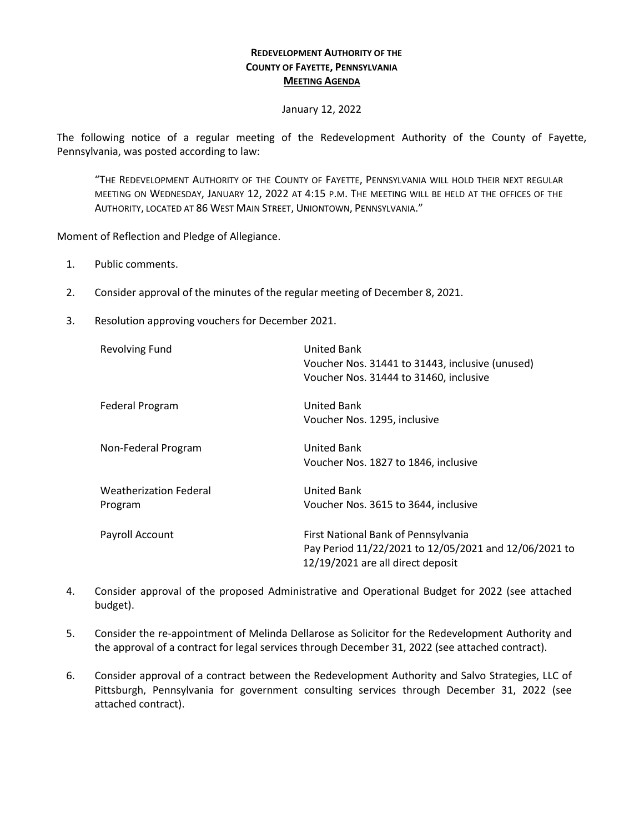## **REDEVELOPMENT AUTHORITY OF THE COUNTY OF FAYETTE, PENNSYLVANIA MEETING AGENDA**

## January 12, 2022

The following notice of a regular meeting of the Redevelopment Authority of the County of Fayette, Pennsylvania, was posted according to law:

"THE REDEVELOPMENT AUTHORITY OF THE COUNTY OF FAYETTE, PENNSYLVANIA WILL HOLD THEIR NEXT REGULAR MEETING ON WEDNESDAY, JANUARY 12, 2022 AT 4:15 P.M. THE MEETING WILL BE HELD AT THE OFFICES OF THE AUTHORITY, LOCATED AT 86 WEST MAIN STREET, UNIONTOWN, PENNSYLVANIA."

Moment of Reflection and Pledge of Allegiance.

- 1. Public comments.
- 2. Consider approval of the minutes of the regular meeting of December 8, 2021.
- 3. Resolution approving vouchers for December 2021.

| <b>Revolving Fund</b>                    | United Bank<br>Voucher Nos. 31441 to 31443, inclusive (unused)<br>Voucher Nos. 31444 to 31460, inclusive                          |
|------------------------------------------|-----------------------------------------------------------------------------------------------------------------------------------|
| <b>Federal Program</b>                   | United Bank<br>Voucher Nos. 1295, inclusive                                                                                       |
| Non-Federal Program                      | United Bank<br>Voucher Nos. 1827 to 1846, inclusive                                                                               |
| <b>Weatherization Federal</b><br>Program | <b>United Bank</b><br>Voucher Nos. 3615 to 3644, inclusive                                                                        |
| Payroll Account                          | First National Bank of Pennsylvania<br>Pay Period 11/22/2021 to 12/05/2021 and 12/06/2021 to<br>12/19/2021 are all direct deposit |

- 4. Consider approval of the proposed Administrative and Operational Budget for 2022 (see attached budget).
- 5. Consider the re-appointment of Melinda Dellarose as Solicitor for the Redevelopment Authority and the approval of a contract for legal services through December 31, 2022 (see attached contract).
- 6. Consider approval of a contract between the Redevelopment Authority and Salvo Strategies, LLC of Pittsburgh, Pennsylvania for government consulting services through December 31, 2022 (see attached contract).